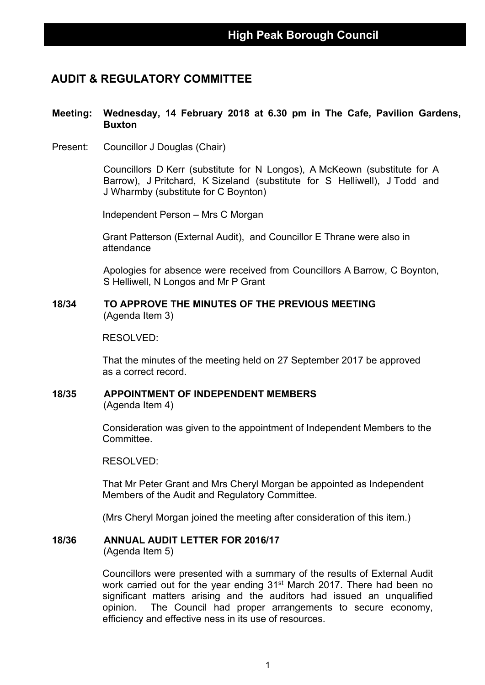### **AUDIT & REGULATORY COMMITTEE**

#### **Meeting: Wednesday, 14 February 2018 at 6.30 pm in The Cafe, Pavilion Gardens, Buxton**

Present: Councillor J Douglas (Chair)

Councillors D Kerr (substitute for N Longos), A McKeown (substitute for A Barrow), J Pritchard, K Sizeland (substitute for S Helliwell), J Todd and J Wharmby (substitute for C Boynton)

Independent Person – Mrs C Morgan

Grant Patterson (External Audit), and Councillor E Thrane were also in attendance

Apologies for absence were received from Councillors A Barrow, C Boynton, S Helliwell, N Longos and Mr P Grant

#### **18/34 TO APPROVE THE MINUTES OF THE PREVIOUS MEETING** (Agenda Item 3)

RESOLVED:

That the minutes of the meeting held on 27 September 2017 be approved as a correct record.

#### **18/35 APPOINTMENT OF INDEPENDENT MEMBERS** (Agenda Item 4)

Consideration was given to the appointment of Independent Members to the **Committee.** 

RESOLVED:

That Mr Peter Grant and Mrs Cheryl Morgan be appointed as Independent Members of the Audit and Regulatory Committee.

(Mrs Cheryl Morgan joined the meeting after consideration of this item.)

#### **18/36 ANNUAL AUDIT LETTER FOR 2016/17** (Agenda Item 5)

Councillors were presented with a summary of the results of External Audit work carried out for the year ending 31<sup>st</sup> March 2017. There had been no significant matters arising and the auditors had issued an unqualified opinion. The Council had proper arrangements to secure economy, efficiency and effective ness in its use of resources.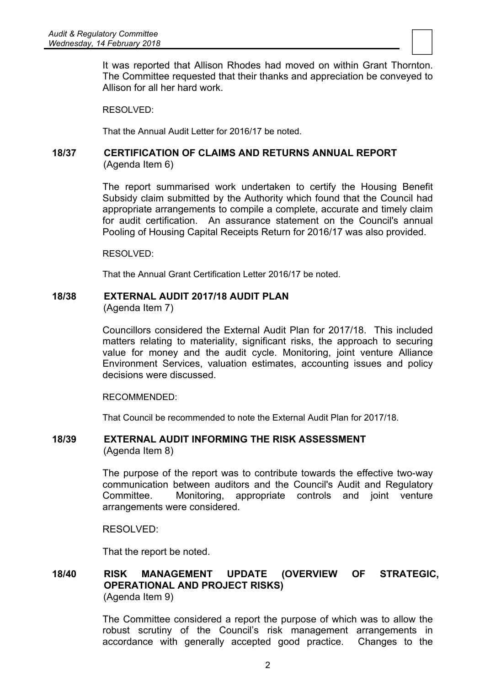$\begin{array}{|c|c|} \hline \quad \quad & \quad \quad \\ \hline \quad \quad & \quad \quad \\ \hline \end{array}$ It was reported that Allison Rhodes had moved on within Grant Thornton. The Committee requested that their thanks and appreciation be conveyed to Allison for all her hard work.

RESOLVED:

That the Annual Audit Letter for 2016/17 be noted.

#### **18/37 CERTIFICATION OF CLAIMS AND RETURNS ANNUAL REPORT** (Agenda Item 6)

The report summarised work undertaken to certify the Housing Benefit Subsidy claim submitted by the Authority which found that the Council had appropriate arrangements to compile a complete, accurate and timely claim for audit certification. An assurance statement on the Council's annual Pooling of Housing Capital Receipts Return for 2016/17 was also provided.

RESOLVED:

That the Annual Grant Certification Letter 2016/17 be noted.

# **18/38 EXTERNAL AUDIT 2017/18 AUDIT PLAN**

(Agenda Item 7)

Councillors considered the External Audit Plan for 2017/18. This included matters relating to materiality, significant risks, the approach to securing value for money and the audit cycle. Monitoring, joint venture Alliance Environment Services, valuation estimates, accounting issues and policy decisions were discussed.

RECOMMENDED:

That Council be recommended to note the External Audit Plan for 2017/18.

#### **18/39 EXTERNAL AUDIT INFORMING THE RISK ASSESSMENT** (Agenda Item 8)

The purpose of the report was to contribute towards the effective two-way communication between auditors and the Council's Audit and Regulatory Committee. Monitoring, appropriate controls and joint venture arrangements were considered.

#### RESOLVED:

That the report be noted.

#### **18/40 RISK MANAGEMENT UPDATE (OVERVIEW OF STRATEGIC, OPERATIONAL AND PROJECT RISKS)** (Agenda Item 9)

The Committee considered a report the purpose of which was to allow the robust scrutiny of the Council's risk management arrangements in accordance with generally accepted good practice. Changes to the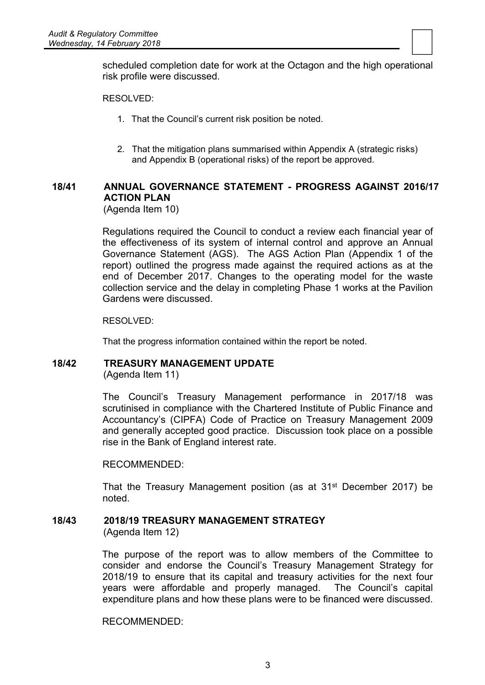$\begin{bmatrix} 1 \\ 1 \\ 1 \end{bmatrix}$ scheduled completion date for work at the Octagon and the high operational risk profile were discussed.

RESOLVED:

- 1. That the Council's current risk position be noted.
- 2. That the mitigation plans summarised within Appendix A (strategic risks) and Appendix B (operational risks) of the report be approved.

## **18/41 ANNUAL GOVERNANCE STATEMENT - PROGRESS AGAINST 2016/17 ACTION PLAN**

(Agenda Item 10)

Regulations required the Council to conduct a review each financial year of the effectiveness of its system of internal control and approve an Annual Governance Statement (AGS). The AGS Action Plan (Appendix 1 of the report) outlined the progress made against the required actions as at the end of December 2017. Changes to the operating model for the waste collection service and the delay in completing Phase 1 works at the Pavilion Gardens were discussed.

RESOLVED:

That the progress information contained within the report be noted.

#### **18/42 TREASURY MANAGEMENT UPDATE**

(Agenda Item 11)

The Council's Treasury Management performance in 2017/18 was scrutinised in compliance with the Chartered Institute of Public Finance and Accountancy's (CIPFA) Code of Practice on Treasury Management 2009 and generally accepted good practice. Discussion took place on a possible rise in the Bank of England interest rate.

RECOMMENDED:

That the Treasury Management position (as at 31<sup>st</sup> December 2017) be noted.

#### **18/43 2018/19 TREASURY MANAGEMENT STRATEGY** (Agenda Item 12)

The purpose of the report was to allow members of the Committee to consider and endorse the Council's Treasury Management Strategy for 2018/19 to ensure that its capital and treasury activities for the next four years were affordable and properly managed. The Council's capital expenditure plans and how these plans were to be financed were discussed.

RECOMMENDED: